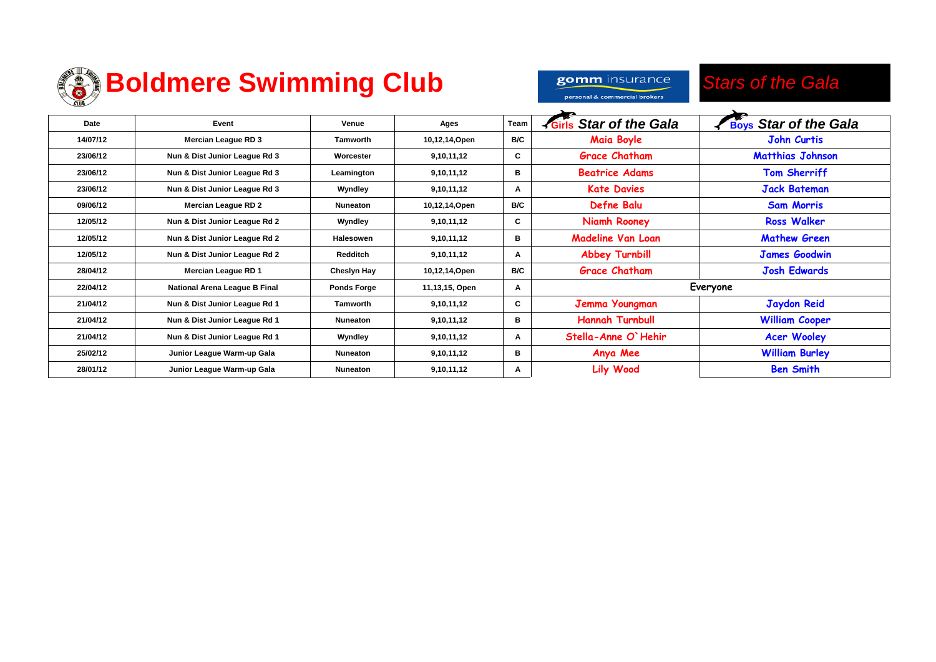

|          | <b>Boldmere Swimming Club</b> |                 | gomm insurance<br>personal & commercial brokers | <b>Stars of the Gala</b> |                        |                              |
|----------|-------------------------------|-----------------|-------------------------------------------------|--------------------------|------------------------|------------------------------|
| Date     | Event                         | Venue           | Ages                                            | Team                     | Girls Star of the Gala | <b>Boys Star of the Gala</b> |
| 14/07/12 | <b>Mercian League RD 3</b>    | <b>Tamworth</b> | 10,12,14,Open                                   | B/C                      | <b>Maia Boyle</b>      | <b>John Curtis</b>           |
| 23/06/12 | Nun & Dist Junior League Rd 3 | Worcester       | 9,10,11,12                                      | C                        | <b>Grace Chatham</b>   | <b>Matthias Johnson</b>      |
| 23/06/12 | Nun & Dist Junior League Rd 3 | Leamington      | 9,10,11,12                                      | в                        | <b>Beatrice Adams</b>  | <b>Tom Sherriff</b>          |
| 23/06/12 | Nun & Dist Junior League Rd 3 | Wyndley         | 9,10,11,12                                      | A                        | <b>Kate Davies</b>     | <b>Jack Bateman</b>          |
|          |                               |                 |                                                 |                          | .                      |                              |

| 23/06/12 | Nun & Dist Junior League Rd 3 | Worcester          | 9,10,11,12     | C   | <b>Grace Chatham</b>     | <b>Matthias Johnson</b> |
|----------|-------------------------------|--------------------|----------------|-----|--------------------------|-------------------------|
| 23/06/12 | Nun & Dist Junior League Rd 3 | Leamington         | 9,10,11,12     | в   | <b>Beatrice Adams</b>    | <b>Tom Sherriff</b>     |
| 23/06/12 | Nun & Dist Junior League Rd 3 | Wyndley            | 9,10,11,12     | A   | <b>Kate Davies</b>       | <b>Jack Bateman</b>     |
| 09/06/12 | Mercian League RD 2           | Nuneaton           | 10,12,14,Open  | B/C | Defne Balu               | <b>Sam Morris</b>       |
| 12/05/12 | Nun & Dist Junior League Rd 2 | Wyndley            | 9,10,11,12     | C   | Niamh Rooney             | <b>Ross Walker</b>      |
| 12/05/12 | Nun & Dist Junior League Rd 2 | Halesowen          | 9,10,11,12     | в   | <b>Madeline Van Loan</b> | <b>Mathew Green</b>     |
| 12/05/12 | Nun & Dist Junior League Rd 2 | Redditch           | 9,10,11,12     | A   | <b>Abbey Turnbill</b>    | James Goodwin           |
| 28/04/12 | Mercian League RD 1           | Cheslyn Hay        | 10,12,14,Open  | B/C | <b>Grace Chatham</b>     | <b>Josh Edwards</b>     |
| 22/04/12 | National Arena League B Final | <b>Ponds Forge</b> | 11,13,15, Open | A   | Everyone                 |                         |
| 21/04/12 | Nun & Dist Junior League Rd 1 | Tamworth           | 9,10,11,12     | C.  | Jemma Youngman           | <b>Jaydon Reid</b>      |
| 21/04/12 | Nun & Dist Junior League Rd 1 | Nuneaton           | 9,10,11,12     | в   | <b>Hannah Turnbull</b>   | <b>William Cooper</b>   |
| 21/04/12 | Nun & Dist Junior League Rd 1 | Wyndley            | 9,10,11,12     | А   | Stella-Anne O'Hehir      | <b>Acer Wooley</b>      |
| 25/02/12 | Junior League Warm-up Gala    | Nuneaton           | 9,10,11,12     | в   | Anya Mee                 | <b>William Burley</b>   |
| 28/01/12 | Junior League Warm-up Gala    | Nuneaton           | 9,10,11,12     | A   | <b>Lily Wood</b>         | <b>Ben Smith</b>        |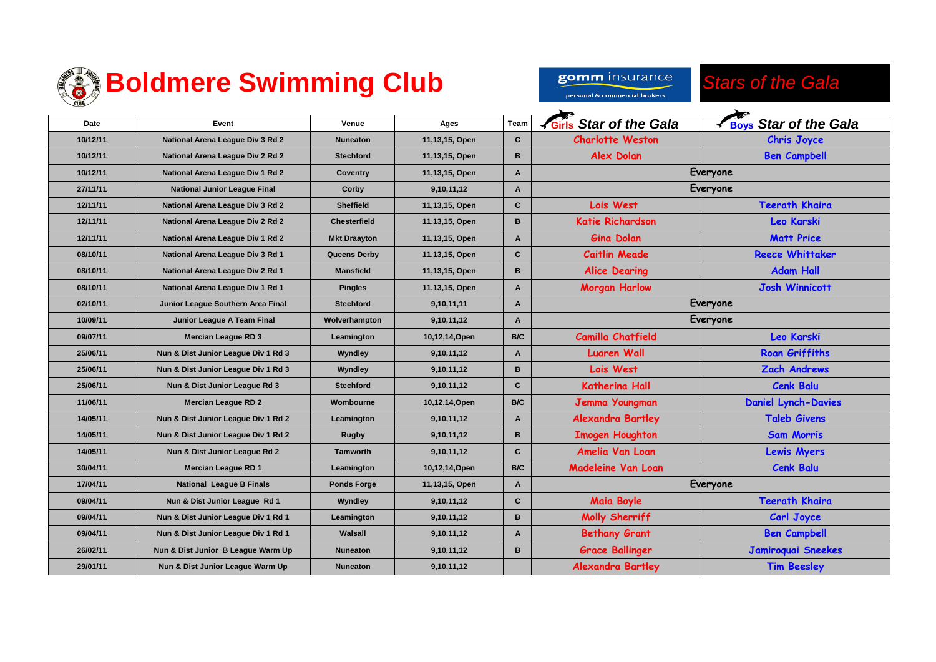

gomm insurance personal & commercial brokers

*Stars of the Gala*

| Date     | Event                               | Venue               | Ages           | Team         | <b>K</b> Girls Star of the Gala | <b>K Boys Star of the Gala</b> |
|----------|-------------------------------------|---------------------|----------------|--------------|---------------------------------|--------------------------------|
| 10/12/11 | National Arena League Div 3 Rd 2    | <b>Nuneaton</b>     | 11,13,15, Open | $\mathbf{C}$ | <b>Charlotte Weston</b>         | <b>Chris Joyce</b>             |
| 10/12/11 | National Arena League Div 2 Rd 2    | <b>Stechford</b>    | 11,13,15, Open | B            | <b>Alex Dolan</b>               | <b>Ben Campbell</b>            |
| 10/12/11 | National Arena League Div 1 Rd 2    | Coventry            | 11,13,15, Open | A            |                                 | Everyone                       |
| 27/11/11 | <b>National Junior League Final</b> | Corby               | 9,10,11,12     | A            |                                 | Everyone                       |
| 12/11/11 | National Arena League Div 3 Rd 2    | <b>Sheffield</b>    | 11,13,15, Open | C            | Lois West                       | <b>Teerath Khaira</b>          |
| 12/11/11 | National Arena League Div 2 Rd 2    | <b>Chesterfield</b> | 11,13,15, Open | B            | <b>Katie Richardson</b>         | <b>Leo Karski</b>              |
| 12/11/11 | National Arena League Div 1 Rd 2    | <b>Mkt Draayton</b> | 11,13,15, Open | A            | <b>Gina Dolan</b>               | <b>Matt Price</b>              |
| 08/10/11 | National Arena League Div 3 Rd 1    | Queens Derby        | 11,13,15, Open | $\mathbf{C}$ | <b>Caitlin Meade</b>            | <b>Reece Whittaker</b>         |
| 08/10/11 | National Arena League Div 2 Rd 1    | <b>Mansfield</b>    | 11,13,15, Open | B            | <b>Alice Dearing</b>            | <b>Adam Hall</b>               |
| 08/10/11 | National Arena League Div 1 Rd 1    | <b>Pingles</b>      | 11,13,15, Open | A            | <b>Morgan Harlow</b>            | <b>Josh Winnicott</b>          |
| 02/10/11 | Junior League Southern Area Final   | <b>Stechford</b>    | 9,10,11,11     | A            | Everyone                        |                                |
| 10/09/11 | Junior League A Team Final          | Wolverhampton       | 9,10,11,12     | A            | Everyone                        |                                |
| 09/07/11 | <b>Mercian League RD 3</b>          | Leamington          | 10,12,14, Open | B/C          | <b>Camilla Chatfield</b>        | <b>Leo Karski</b>              |
| 25/06/11 | Nun & Dist Junior League Div 1 Rd 3 | Wyndley             | 9,10,11,12     | A            | <b>Luaren Wall</b>              | <b>Roan Griffiths</b>          |
| 25/06/11 | Nun & Dist Junior League Div 1 Rd 3 | Wyndley             | 9,10,11,12     | B            | Lois West                       | <b>Zach Andrews</b>            |
| 25/06/11 | Nun & Dist Junior League Rd 3       | <b>Stechford</b>    | 9,10,11,12     | $\mathbf{C}$ | <b>Katherina Hall</b>           | <b>Cenk Balu</b>               |
| 11/06/11 | <b>Mercian League RD 2</b>          | Wombourne           | 10,12,14, Open | B/C          | Jemma Youngman                  | <b>Daniel Lynch-Davies</b>     |
| 14/05/11 | Nun & Dist Junior League Div 1 Rd 2 | Leamington          | 9,10,11,12     | A            | <b>Alexandra Bartley</b>        | <b>Taleb Givens</b>            |
| 14/05/11 | Nun & Dist Junior League Div 1 Rd 2 | <b>Rugby</b>        | 9,10,11,12     | B            | <b>Imogen Houghton</b>          | <b>Sam Morris</b>              |
| 14/05/11 | Nun & Dist Junior League Rd 2       | <b>Tamworth</b>     | 9,10,11,12     | $\mathbf{C}$ | Amelia Van Loan                 | <b>Lewis Myers</b>             |
| 30/04/11 | <b>Mercian League RD 1</b>          | Leamington          | 10,12,14, Open | B/C          | <b>Madeleine Van Loan</b>       | <b>Cenk Balu</b>               |
| 17/04/11 | <b>National League B Finals</b>     | <b>Ponds Forge</b>  | 11,13,15, Open | A            |                                 | Everyone                       |
| 09/04/11 | Nun & Dist Junior League Rd 1       | Wyndley             | 9,10,11,12     | $\mathbf{C}$ | <b>Maia Boyle</b>               | <b>Teerath Khaira</b>          |
| 09/04/11 | Nun & Dist Junior League Div 1 Rd 1 | Leamington          | 9,10,11,12     | B            | Molly Sherriff                  | Carl Joyce                     |
| 09/04/11 | Nun & Dist Junior League Div 1 Rd 1 | Walsall             | 9,10,11,12     | A            | <b>Bethany Grant</b>            | <b>Ben Campbell</b>            |
| 26/02/11 | Nun & Dist Junior B League Warm Up  | <b>Nuneaton</b>     | 9,10,11,12     | B            | <b>Grace Ballinger</b>          | Jamiroquai Sneekes             |
| 29/01/11 | Nun & Dist Junior League Warm Up    | <b>Nuneaton</b>     | 9,10,11,12     |              | <b>Alexandra Bartley</b>        | <b>Tim Beesley</b>             |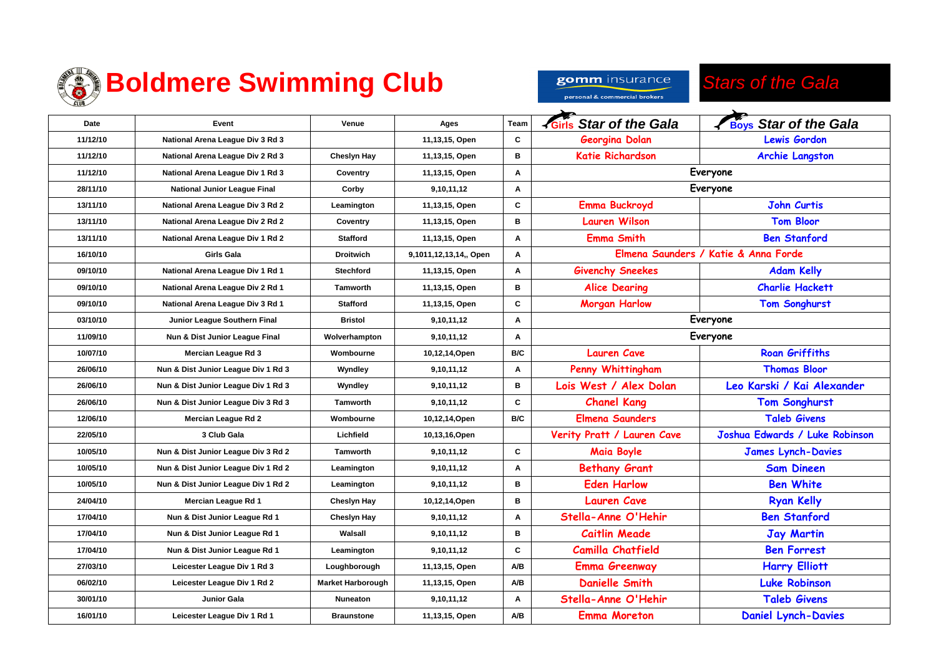

### *Stars of the Gala*

| Date     | Event                               | Venue                    | Ages                   | <b>Team</b> | <b>Siris Star of the Gala</b> | <b>Boys Star of the Gala</b>         |
|----------|-------------------------------------|--------------------------|------------------------|-------------|-------------------------------|--------------------------------------|
| 11/12/10 | National Arena League Div 3 Rd 3    |                          | 11,13,15, Open         | C           | Georgina Dolan                | <b>Lewis Gordon</b>                  |
| 11/12/10 | National Arena League Div 2 Rd 3    | <b>Cheslyn Hay</b>       | 11,13,15, Open         | в           | <b>Katie Richardson</b>       | <b>Archie Langston</b>               |
| 11/12/10 | National Arena League Div 1 Rd 3    | Coventry                 | 11,13,15, Open         | Α           |                               | Everyone                             |
| 28/11/10 | <b>National Junior League Final</b> | Corby                    | 9,10,11,12             | A           |                               | Everyone                             |
| 13/11/10 | National Arena League Div 3 Rd 2    | Leamington               | 11,13,15, Open         | C           | <b>Emma Buckroyd</b>          | <b>John Curtis</b>                   |
| 13/11/10 | National Arena League Div 2 Rd 2    | Coventry                 | 11,13,15, Open         | в           | <b>Lauren Wilson</b>          | <b>Tom Bloor</b>                     |
| 13/11/10 | National Arena League Div 1 Rd 2    | <b>Stafford</b>          | 11,13,15, Open         | A           | <b>Emma Smith</b>             | <b>Ben Stanford</b>                  |
| 16/10/10 | <b>Girls Gala</b>                   | <b>Droitwich</b>         | 9,1011,12,13,14,, Open | A           |                               | Elmena Saunders / Katie & Anna Forde |
| 09/10/10 | National Arena League Div 1 Rd 1    | <b>Stechford</b>         | 11,13,15, Open         | A           | <b>Givenchy Sneekes</b>       | <b>Adam Kelly</b>                    |
| 09/10/10 | National Arena League Div 2 Rd 1    | <b>Tamworth</b>          | 11,13,15, Open         | в           | <b>Alice Dearing</b>          | <b>Charlie Hackett</b>               |
| 09/10/10 | National Arena League Div 3 Rd 1    | <b>Stafford</b>          | 11,13,15, Open         | C           | <b>Morgan Harlow</b>          | <b>Tom Songhurst</b>                 |
| 03/10/10 | Junior League Southern Final        | <b>Bristol</b>           | 9,10,11,12             | A           | Everyone                      |                                      |
| 11/09/10 | Nun & Dist Junior League Final      | Wolverhampton            | 9,10,11,12             | A           |                               | Everyone                             |
| 10/07/10 | Mercian League Rd 3                 | Wombourne                | 10,12,14,Open          | B/C         | <b>Lauren Cave</b>            | <b>Roan Griffiths</b>                |
| 26/06/10 | Nun & Dist Junior League Div 1 Rd 3 | Wyndley                  | 9,10,11,12             | Α           | Penny Whittingham             | <b>Thomas Bloor</b>                  |
| 26/06/10 | Nun & Dist Junior League Div 1 Rd 3 | Wyndley                  | 9,10,11,12             | в           | Lois West / Alex Dolan        | Leo Karski / Kai Alexander           |
| 26/06/10 | Nun & Dist Junior League Div 3 Rd 3 | Tamworth                 | 9,10,11,12             | C           | <b>Chanel Kang</b>            | <b>Tom Songhurst</b>                 |
| 12/06/10 | Mercian League Rd 2                 | Wombourne                | 10,12,14,Open          | B/C         | <b>Elmena Saunders</b>        | <b>Taleb Givens</b>                  |
| 22/05/10 | 3 Club Gala                         | Lichfield                | 10,13,16,Open          |             | Verity Pratt / Lauren Cave    | Joshua Edwards / Luke Robinson       |
| 10/05/10 | Nun & Dist Junior League Div 3 Rd 2 | <b>Tamworth</b>          | 9,10,11,12             | C           | <b>Maia Boyle</b>             | <b>James Lynch-Davies</b>            |
| 10/05/10 | Nun & Dist Junior League Div 1 Rd 2 | Leamington               | 9,10,11,12             | A           | <b>Bethany Grant</b>          | <b>Sam Dineen</b>                    |
| 10/05/10 | Nun & Dist Junior League Div 1 Rd 2 | Leamington               | 9,10,11,12             | в           | <b>Eden Harlow</b>            | <b>Ben White</b>                     |
| 24/04/10 | Mercian League Rd 1                 | <b>Cheslyn Hay</b>       | 10,12,14,Open          | в           | <b>Lauren Cave</b>            | <b>Ryan Kelly</b>                    |
| 17/04/10 | Nun & Dist Junior League Rd 1       | Chesiyn Hay              | 9,10,11,12             | Α           | Stella-Anne O'Hehir           | <b>Ben Stanford</b>                  |
| 17/04/10 | Nun & Dist Junior League Rd 1       | Walsall                  | 9,10,11,12             | в           | <b>Caitlin Meade</b>          | <b>Jay Martin</b>                    |
| 17/04/10 | Nun & Dist Junior League Rd 1       | Leamington               | 9,10,11,12             | C           | <b>Camilla Chatfield</b>      | <b>Ben Forrest</b>                   |
| 27/03/10 | Leicester League Div 1 Rd 3         | Loughborough             | 11,13,15, Open         | <b>NB</b>   | <b>Emma Greenway</b>          | <b>Harry Elliott</b>                 |
| 06/02/10 | Leicester League Div 1 Rd 2         | <b>Market Harborough</b> | 11,13,15, Open         | A/B         | <b>Danielle Smith</b>         | <b>Luke Robinson</b>                 |
| 30/01/10 | Junior Gala                         | Nuneaton                 | 9,10,11,12             | Α           | Stella-Anne O'Hehir           | <b>Taleb Givens</b>                  |
| 16/01/10 | Leicester League Div 1 Rd 1         | <b>Braunstone</b>        | 11,13,15, Open         | A/B         | <b>Emma Moreton</b>           | <b>Daniel Lynch-Davies</b>           |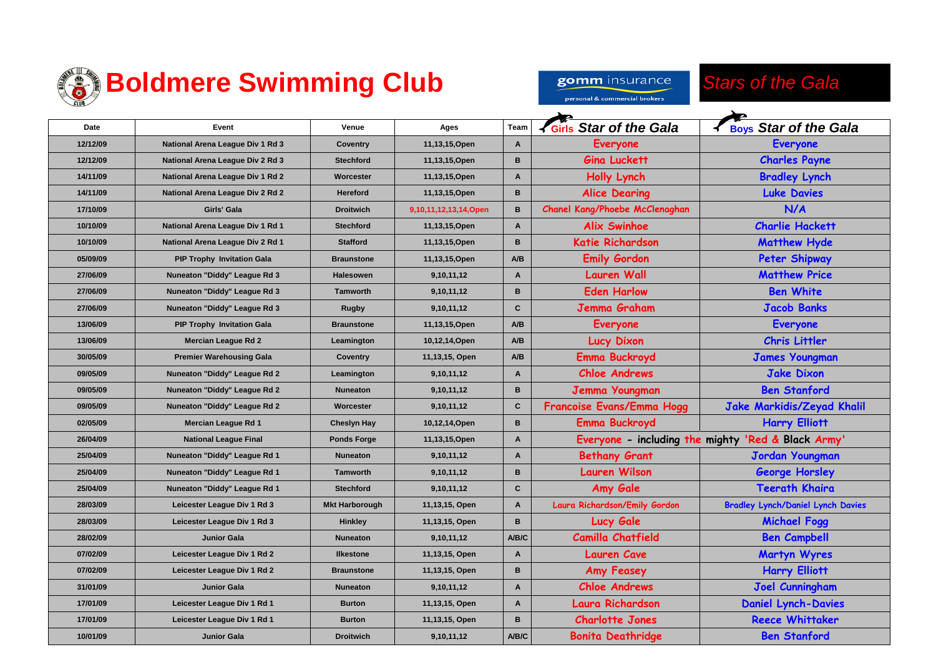

## **<sup><sup>2</sup> Boldmere Swimming Club**</sup>

*Stars of the Gala* gomm insurance personal & commercial brokers  $\rightarrow$  $\overline{\phantom{0}}$ 

| Date     | Event                             | Venue                 | Ages                  | Team      | Girls Star of the Gala         | <b>Boys Star of the Gala</b>                       |
|----------|-----------------------------------|-----------------------|-----------------------|-----------|--------------------------------|----------------------------------------------------|
| 12/12/09 | National Arena League Div 1 Rd 3  | <b>Coventry</b>       | 11,13,15, Open        | A         | <b>Everyone</b>                | <b>Everyone</b>                                    |
| 12/12/09 | National Arena League Div 2 Rd 3  | <b>Stechford</b>      | 11,13,15, Open        | B         | <b>Gina Luckett</b>            | <b>Charles Payne</b>                               |
| 14/11/09 | National Arena League Div 1 Rd 2  | Worcester             | 11,13,15, Open        | A         | <b>Holly Lynch</b>             | <b>Bradley Lynch</b>                               |
| 14/11/09 | National Arena League Div 2 Rd 2  | <b>Hereford</b>       | 11,13,15, Open        | B         | <b>Alice Dearing</b>           | <b>Luke Davies</b>                                 |
| 17/10/09 | Girls' Gala                       | <b>Droitwich</b>      | 9,10,11,12,13,14,Open | B         | Chanel Kang/Phoebe McClenaghan | N/A                                                |
| 10/10/09 | National Arena League Div 1 Rd 1  | <b>Stechford</b>      | 11,13,15, Open        | A         | <b>Alix Swinhoe</b>            | <b>Charlie Hackett</b>                             |
| 10/10/09 | National Arena League Div 2 Rd 1  | <b>Stafford</b>       | 11,13,15, Open        | B         | <b>Katie Richardson</b>        | <b>Matthew Hyde</b>                                |
| 05/09/09 | <b>PIP Trophy Invitation Gala</b> | <b>Braunstone</b>     | 11,13,15, Open        | <b>NB</b> | <b>Emily Gordon</b>            | <b>Peter Shipway</b>                               |
| 27/06/09 | Nuneaton "Diddy" League Rd 3      | <b>Halesowen</b>      | 9,10,11,12            | A         | <b>Lauren Wall</b>             | <b>Matthew Price</b>                               |
| 27/06/09 | Nuneaton "Diddy" League Rd 3      | <b>Tamworth</b>       | 9,10,11,12            | B         | <b>Eden Harlow</b>             | <b>Ben White</b>                                   |
| 27/06/09 | Nuneaton "Diddy" League Rd 3      | <b>Rugby</b>          | 9,10,11,12            | C         | Jemma Graham                   | <b>Jacob Banks</b>                                 |
| 13/06/09 | <b>PIP Trophy Invitation Gala</b> | <b>Braunstone</b>     | 11,13,15, Open        | A/B       | <b>Everyone</b>                | <b>Everyone</b>                                    |
| 13/06/09 | <b>Mercian League Rd 2</b>        | Leamington            | 10,12,14, Open        | A/B       | <b>Lucy Dixon</b>              | <b>Chris Littler</b>                               |
| 30/05/09 | <b>Premier Warehousing Gala</b>   | <b>Coventry</b>       | 11,13,15, Open        | A/B       | <b>Emma Buckroyd</b>           | <b>James Youngman</b>                              |
| 09/05/09 | Nuneaton "Diddy" League Rd 2      | Leamington            | 9,10,11,12            | A         | <b>Chloe Andrews</b>           | <b>Jake Dixon</b>                                  |
| 09/05/09 | Nuneaton "Diddy" League Rd 2      | <b>Nuneaton</b>       | 9,10,11,12            | B         | Jemma Youngman                 | <b>Ben Stanford</b>                                |
| 09/05/09 | Nuneaton "Diddy" League Rd 2      | Worcester             | 9,10,11,12            | C         | Francoise Evans/Emma Hogg      | Jake Markidis/Zeyad Khalil                         |
| 02/05/09 | Mercian League Rd 1               | <b>Cheslyn Hay</b>    | 10,12,14, Open        | B         | <b>Emma Buckroyd</b>           | <b>Harry Elliott</b>                               |
| 26/04/09 | <b>National League Final</b>      | <b>Ponds Forge</b>    | 11,13,15, Open        | A         |                                | Everyone - including the mighty 'Red & Black Army' |
| 25/04/09 | Nuneaton "Diddy" League Rd 1      | <b>Nuneaton</b>       | 9,10,11,12            | A         | <b>Bethany Grant</b>           | <b>Jordan Youngman</b>                             |
| 25/04/09 | Nuneaton "Diddy" League Rd 1      | <b>Tamworth</b>       | 9,10,11,12            | B         | <b>Lauren Wilson</b>           | <b>George Horsley</b>                              |
| 25/04/09 | Nuneaton "Diddy" League Rd 1      | <b>Stechford</b>      | 9,10,11,12            | C         | Amy Gale                       | <b>Teerath Khaira</b>                              |
| 28/03/09 | Leicester League Div 1 Rd 3       | <b>Mkt Harborough</b> | 11,13,15, Open        | A         | Laura Richardson/Emily Gordon  | <b>Bradley Lynch/Daniel Lynch Davies</b>           |
| 28/03/09 | Leicester League Div 1 Rd 3       | <b>Hinkley</b>        | 11,13,15, Open        | B         | <b>Lucy Gale</b>               | <b>Michael Fogg</b>                                |
| 28/02/09 | <b>Junior Gala</b>                | <b>Nuneaton</b>       | 9,10,11,12            | A/B/C     | <b>Camilla Chatfield</b>       | <b>Ben Campbell</b>                                |
| 07/02/09 | Leicester League Div 1 Rd 2       | <b>Ilkestone</b>      | 11,13,15, Open        | A         | <b>Lauren Cave</b>             | <b>Martyn Wyres</b>                                |
| 07/02/09 | Leicester League Div 1 Rd 2       | <b>Braunstone</b>     | 11,13,15, Open        | B         | <b>Amy Feasey</b>              | <b>Harry Elliott</b>                               |
| 31/01/09 | <b>Junior Gala</b>                | <b>Nuneaton</b>       | 9,10,11,12            | A         | <b>Chloe Andrews</b>           | <b>Joel Cunningham</b>                             |
| 17/01/09 | Leicester League Div 1 Rd 1       | <b>Burton</b>         | 11,13,15, Open        | A         | <b>Laura Richardson</b>        | <b>Daniel Lynch-Davies</b>                         |
| 17/01/09 | Leicester League Div 1 Rd 1       | <b>Burton</b>         | 11,13,15, Open        | B         | <b>Charlotte Jones</b>         | <b>Reece Whittaker</b>                             |
| 10/01/09 | <b>Junior Gala</b>                | <b>Droitwich</b>      | 9,10,11,12            | A/B/C     | <b>Bonita Deathridge</b>       | <b>Ben Stanford</b>                                |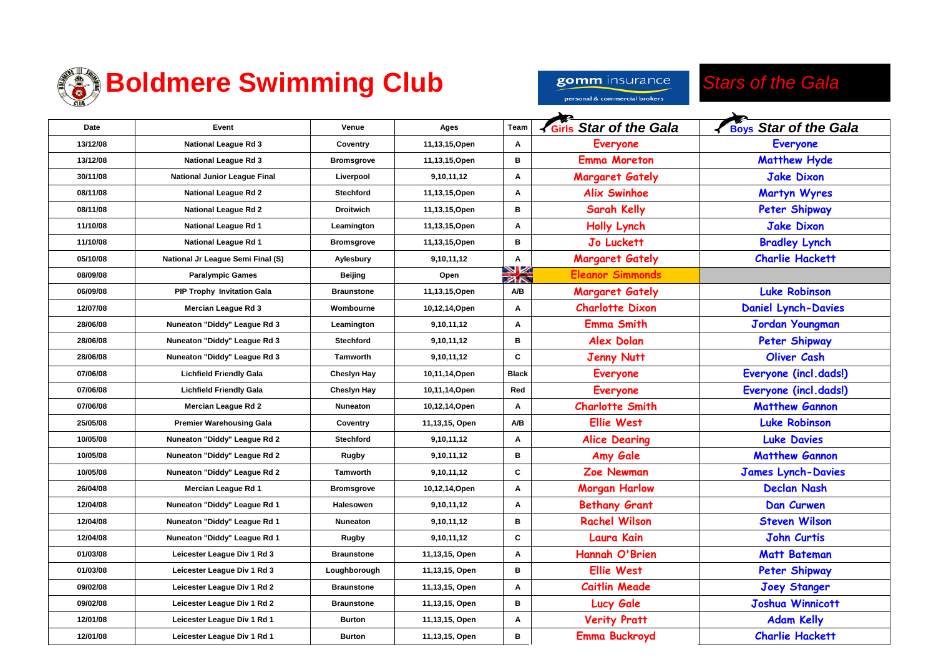

gomm insurance

#### *Stars of the Gala*

personal & commercial brokers

| Date     | Event                               | Venue              | Ages           | <b>Team</b>   | <b>K</b> Girls Star of the Gala | <b>Boys Star of the Gala</b> |
|----------|-------------------------------------|--------------------|----------------|---------------|---------------------------------|------------------------------|
| 13/12/08 | <b>National League Rd 3</b>         | Coventry           | 11,13,15, Open | A             | <b>Everyone</b>                 | <b>Everyone</b>              |
| 13/12/08 | <b>National League Rd 3</b>         | <b>Bromsgrove</b>  | 11,13,15, Open | в             | <b>Emma Moreton</b>             | <b>Matthew Hyde</b>          |
| 30/11/08 | <b>National Junior League Final</b> | Liverpool          | 9,10,11,12     | Α             | <b>Margaret Gately</b>          | <b>Jake Dixon</b>            |
| 08/11/08 | <b>National League Rd 2</b>         | <b>Stechford</b>   | 11,13,15, Open | A             | <b>Alix Swinhoe</b>             | <b>Martyn Wyres</b>          |
| 08/11/08 | <b>National League Rd 2</b>         | <b>Droitwich</b>   | 11,13,15, Open | в             | <b>Sarah Kelly</b>              | <b>Peter Shipway</b>         |
| 11/10/08 | National League Rd 1                | Leamington         | 11,13,15, Open | Α             | <b>Holly Lynch</b>              | <b>Jake Dixon</b>            |
| 11/10/08 | National League Rd 1                | <b>Bromsgrove</b>  | 11,13,15, Open | B             | <b>Jo Luckett</b>               | <b>Bradley Lynch</b>         |
| 05/10/08 | National Jr League Semi Final (S)   | Aylesbury          | 9,10,11,12     | A             | <b>Margaret Gately</b>          | <b>Charlie Hackett</b>       |
| 08/09/08 | <b>Paralympic Games</b>             | <b>Beijing</b>     | Open           | VZ<br>$Z\sim$ | <b>Eleanor Simmonds</b>         |                              |
| 06/09/08 | <b>PIP Trophy Invitation Gala</b>   | <b>Braunstone</b>  | 11,13,15, Open | A/B           | <b>Margaret Gately</b>          | <b>Luke Robinson</b>         |
| 12/07/08 | Mercian League Rd 3                 | Wombourne          | 10,12,14,Open  | A             | <b>Charlotte Dixon</b>          | <b>Daniel Lynch-Davies</b>   |
| 28/06/08 | Nuneaton "Diddy" League Rd 3        | Leamington         | 9,10,11,12     | Α             | <b>Emma Smith</b>               | <b>Jordan Youngman</b>       |
| 28/06/08 | Nuneaton "Diddy" League Rd 3        | <b>Stechford</b>   | 9,10,11,12     | В             | <b>Alex Dolan</b>               | Peter Shipway                |
| 28/06/08 | Nuneaton "Diddy" League Rd 3        | <b>Tamworth</b>    | 9,10,11,12     | C             | <b>Jenny Nutt</b>               | <b>Oliver Cash</b>           |
| 07/06/08 | <b>Lichfield Friendly Gala</b>      | <b>Cheslyn Hay</b> | 10,11,14, Open | <b>Black</b>  | <b>Everyone</b>                 | Everyone (incl.dads!)        |
| 07/06/08 | <b>Lichfield Friendly Gala</b>      | <b>Cheslyn Hay</b> | 10,11,14,Open  | Red           | <b>Everyone</b>                 | Everyone (incl.dads!)        |
| 07/06/08 | Mercian League Rd 2                 | <b>Nuneaton</b>    | 10,12,14, Open | A             | <b>Charlotte Smith</b>          | <b>Matthew Gannon</b>        |
| 25/05/08 | <b>Premier Warehousing Gala</b>     | Coventry           | 11,13,15, Open | A/B           | <b>Ellie West</b>               | <b>Luke Robinson</b>         |
| 10/05/08 | Nuneaton "Diddy" League Rd 2        | <b>Stechford</b>   | 9,10,11,12     | $\mathbf{A}$  | <b>Alice Dearing</b>            | <b>Luke Davies</b>           |
| 10/05/08 | Nuneaton "Diddy" League Rd 2        | Rugby              | 9,10,11,12     | В             | Amy Gale                        | <b>Matthew Gannon</b>        |
| 10/05/08 | Nuneaton "Diddy" League Rd 2        | <b>Tamworth</b>    | 9,10,11,12     | C             | <b>Zoe Newman</b>               | <b>James Lynch-Davies</b>    |
| 26/04/08 | Mercian League Rd 1                 | <b>Bromsgrove</b>  | 10,12,14,Open  | A             | <b>Morgan Harlow</b>            | <b>Declan Nash</b>           |
| 12/04/08 | Nuneaton "Diddy" League Rd 1        | Halesowen          | 9,10,11,12     | $\mathbf{A}$  | <b>Bethany Grant</b>            | Dan Curwen                   |
| 12/04/08 | Nuneaton "Diddy" League Rd 1        | Nuneaton           | 9,10,11,12     | в             | <b>Rachel Wilson</b>            | <b>Steven Wilson</b>         |
| 12/04/08 | Nuneaton "Diddy" League Rd 1        | <b>Rugby</b>       | 9,10,11,12     | C             | Laura Kain                      | <b>John Curtis</b>           |
| 01/03/08 | Leicester League Div 1 Rd 3         | <b>Braunstone</b>  | 11,13,15, Open | A             | Hannah O'Brien                  | <b>Matt Bateman</b>          |
| 01/03/08 | Leicester League Div 1 Rd 3         | Loughborough       | 11,13,15, Open | В             | <b>Ellie West</b>               | <b>Peter Shipway</b>         |
| 09/02/08 | Leicester League Div 1 Rd 2         | <b>Braunstone</b>  | 11,13,15, Open | A             | <b>Caitlin Meade</b>            | <b>Joey Stanger</b>          |
| 09/02/08 | Leicester League Div 1 Rd 2         | <b>Braunstone</b>  | 11,13,15, Open | В             | <b>Lucy Gale</b>                | <b>Joshua Winnicott</b>      |
| 12/01/08 | Leicester League Div 1 Rd 1         | <b>Burton</b>      | 11,13,15, Open | Α             | <b>Verity Pratt</b>             | <b>Adam Kelly</b>            |
| 12/01/08 | Leicester League Div 1 Rd 1         | <b>Burton</b>      | 11,13,15, Open | В             | <b>Emma Buckroyd</b>            | <b>Charlie Hackett</b>       |
|          |                                     |                    |                |               |                                 |                              |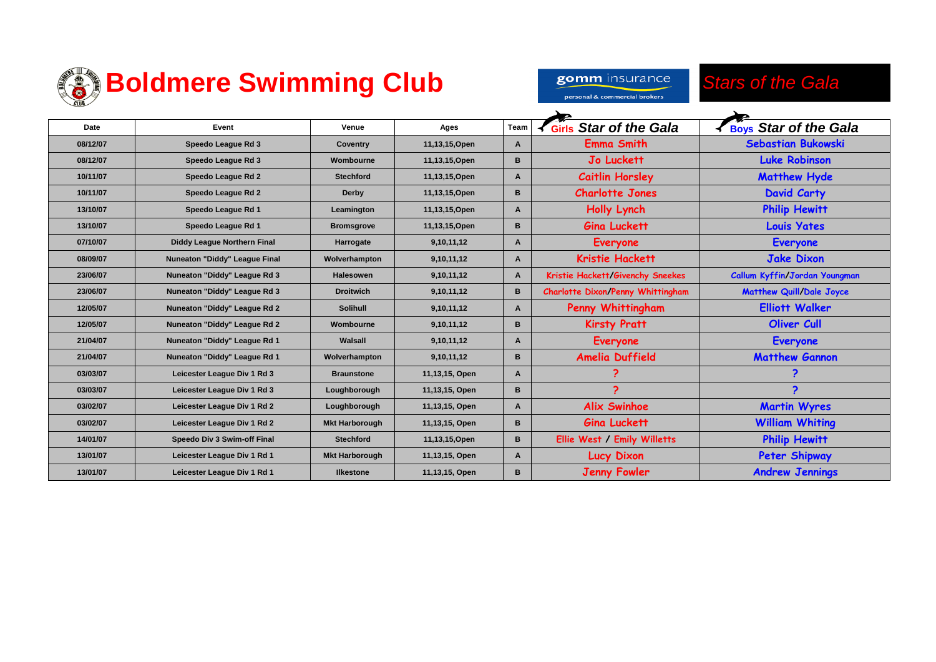

 $\Gamma$ 

### *S* Boldmere Swimming Club

*Stars of the Gala* gomm insurance personal & commercial brokers

| Date     | Event                              | Venue                 | Ages           | <b>Team</b> | <b>K</b> Girls Star of the Gala          | Boys Star of the Gala           |
|----------|------------------------------------|-----------------------|----------------|-------------|------------------------------------------|---------------------------------|
| 08/12/07 | Speedo League Rd 3                 | <b>Coventry</b>       | 11,13,15, Open | A           | <b>Emma Smith</b>                        | <b>Sebastian Bukowski</b>       |
| 08/12/07 | Speedo League Rd 3                 | Wombourne             | 11,13,15, Open | B           | <b>Jo Luckett</b>                        | <b>Luke Robinson</b>            |
| 10/11/07 | Speedo League Rd 2                 | <b>Stechford</b>      | 11,13,15, Open | A           | <b>Caitlin Horsley</b>                   | <b>Matthew Hyde</b>             |
| 10/11/07 | Speedo League Rd 2                 | Derby                 | 11,13,15, Open | B           | <b>Charlotte Jones</b>                   | <b>David Carty</b>              |
| 13/10/07 | Speedo League Rd 1                 | Leamington            | 11,13,15, Open | A           | Holly Lynch                              | <b>Philip Hewitt</b>            |
| 13/10/07 | Speedo League Rd 1                 | <b>Bromsgrove</b>     | 11,13,15, Open | B           | <b>Gina Luckett</b>                      | <b>Louis Yates</b>              |
| 07/10/07 | <b>Diddy League Northern Final</b> | Harrogate             | 9,10,11,12     | A           | <b>Everyone</b>                          | <b>Everyone</b>                 |
| 08/09/07 | Nuneaton "Diddy" League Final      | Wolverhampton         | 9,10,11,12     | A           | Kristie Hackett                          | <b>Jake Dixon</b>               |
| 23/06/07 | Nuneaton "Diddy" League Rd 3       | <b>Halesowen</b>      | 9,10,11,12     | A           | Kristie Hackett/Givenchy Sneekes         | Callum Kyffin/Jordan Youngman   |
| 23/06/07 | Nuneaton "Diddy" League Rd 3       | <b>Droitwich</b>      | 9,10,11,12     | В           | <b>Charlotte Dixon/Penny Whittingham</b> | <b>Matthew Quill/Dale Joyce</b> |
| 12/05/07 | Nuneaton "Diddy" League Rd 2       | <b>Solihull</b>       | 9,10,11,12     | A           | Penny Whittingham                        | <b>Elliott Walker</b>           |
| 12/05/07 | Nuneaton "Diddy" League Rd 2       | Wombourne             | 9,10,11,12     | B           | <b>Kirsty Pratt</b>                      | Oliver Cull                     |
| 21/04/07 | Nuneaton "Diddy" League Rd 1       | Walsall               | 9,10,11,12     | A           | <b>Everyone</b>                          | <b>Everyone</b>                 |
| 21/04/07 | Nuneaton "Diddy" League Rd 1       | Wolverhampton         | 9,10,11,12     | B           | Amelia Duffield                          | <b>Matthew Gannon</b>           |
| 03/03/07 | Leicester League Div 1 Rd 3        | <b>Braunstone</b>     | 11,13,15, Open | A           | 2                                        | ?                               |
| 03/03/07 | Leicester League Div 1 Rd 3        | Loughborough          | 11,13,15, Open | B           | $\mathbf{P}$                             | ?                               |
| 03/02/07 | Leicester League Div 1 Rd 2        | Loughborough          | 11,13,15, Open | A           | <b>Alix Swinhoe</b>                      | <b>Martin Wyres</b>             |
| 03/02/07 | Leicester League Div 1 Rd 2        | <b>Mkt Harborough</b> | 11,13,15, Open | B           | <b>Gina Luckett</b>                      | <b>William Whiting</b>          |
| 14/01/07 | Speedo Div 3 Swim-off Final        | <b>Stechford</b>      | 11,13,15, Open | B           | Ellie West / Emily Willetts              | <b>Philip Hewitt</b>            |
| 13/01/07 | Leicester League Div 1 Rd 1        | <b>Mkt Harborough</b> | 11,13,15, Open | A           | <b>Lucy Dixon</b>                        | Peter Shipway                   |
| 13/01/07 | Leicester League Div 1 Rd 1        | <b>Ilkestone</b>      | 11,13,15, Open | B           | <b>Jenny Fowler</b>                      | <b>Andrew Jennings</b>          |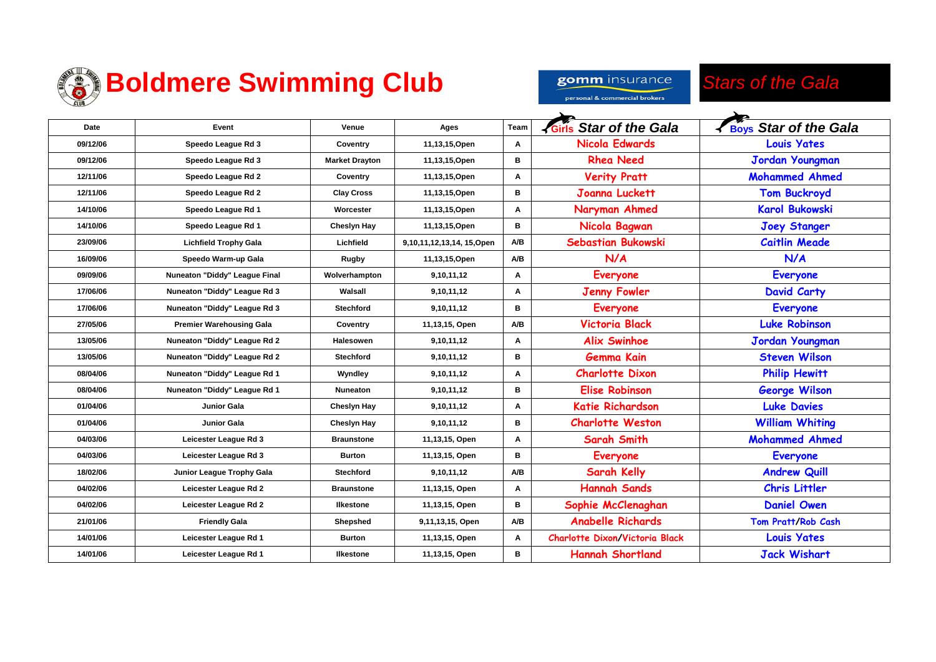

gomm insurance personal & commercial brokers

#### *Stars of the Gala*

| Date     | Event                           | Venue                 | Ages                      | Team | <b>KGirls Star of the Gala</b>        | <b>Boys Star of the Gala</b> |
|----------|---------------------------------|-----------------------|---------------------------|------|---------------------------------------|------------------------------|
| 09/12/06 | Speedo League Rd 3              | Coventry              | 11,13,15,Open             | Α    | <b>Nicola Edwards</b>                 | <b>Louis Yates</b>           |
| 09/12/06 | Speedo League Rd 3              | <b>Market Drayton</b> | 11,13,15, Open            | в    | <b>Rhea Need</b>                      | Jordan Youngman              |
| 12/11/06 | Speedo League Rd 2              | Coventry              | 11,13,15, Open            | A    | <b>Verity Pratt</b>                   | <b>Mohammed Ahmed</b>        |
| 12/11/06 | Speedo League Rd 2              | <b>Clay Cross</b>     | 11,13,15, Open            | в    | <b>Joanna Luckett</b>                 | <b>Tom Buckroyd</b>          |
| 14/10/06 | Speedo League Rd 1              | Worcester             | 11,13,15, Open            | Α    | Naryman Ahmed                         | <b>Karol Bukowski</b>        |
| 14/10/06 | Speedo League Rd 1              | Chesiyn Hay           | 11,13,15, Open            | в    | Nicola Bagwan                         | <b>Joey Stanger</b>          |
| 23/09/06 | <b>Lichfield Trophy Gala</b>    | Lichfield             | 9,10,11,12,13,14, 15,Open | A/B  | Sebastian Bukowski                    | <b>Caitlin Meade</b>         |
| 16/09/06 | Speedo Warm-up Gala             | <b>Rugby</b>          | 11,13,15, Open            | A/B  | N/A                                   | N/A                          |
| 09/09/06 | Nuneaton "Diddy" League Final   | Wolverhampton         | 9,10,11,12                | A    | <b>Everyone</b>                       | <b>Everyone</b>              |
| 17/06/06 | Nuneaton "Diddy" League Rd 3    | Walsall               | 9,10,11,12                | Α    | <b>Jenny Fowler</b>                   | <b>David Carty</b>           |
| 17/06/06 | Nuneaton "Diddy" League Rd 3    | <b>Stechford</b>      | 9,10,11,12                | в    | <b>Everyone</b>                       | <b>Everyone</b>              |
| 27/05/06 | <b>Premier Warehousing Gala</b> | Coventry              | 11,13,15, Open            | A/B  | <b>Victoria Black</b>                 | <b>Luke Robinson</b>         |
| 13/05/06 | Nuneaton "Diddy" League Rd 2    | Halesowen             | 9,10,11,12                | Α    | <b>Alix Swinhoe</b>                   | Jordan Youngman              |
| 13/05/06 | Nuneaton "Diddy" League Rd 2    | <b>Stechford</b>      | 9,10,11,12                | в    | <b>Gemma Kain</b>                     | <b>Steven Wilson</b>         |
| 08/04/06 | Nuneaton "Diddy" League Rd 1    | Wyndley               | 9,10,11,12                | A    | <b>Charlotte Dixon</b>                | <b>Philip Hewitt</b>         |
| 08/04/06 | Nuneaton "Diddy" League Rd 1    | Nuneaton              | 9,10,11,12                | в    | <b>Elise Robinson</b>                 | <b>George Wilson</b>         |
| 01/04/06 | <b>Junior Gala</b>              | Cheslyn Hay           | 9,10,11,12                | Α    | <b>Katie Richardson</b>               | <b>Luke Davies</b>           |
| 01/04/06 | Junior Gala                     | Chesiyn Hay           | 9,10,11,12                | в    | <b>Charlotte Weston</b>               | <b>William Whiting</b>       |
| 04/03/06 | Leicester League Rd 3           | <b>Braunstone</b>     | 11,13,15, Open            | A    | Sarah Smith                           | <b>Mohammed Ahmed</b>        |
| 04/03/06 | Leicester League Rd 3           | <b>Burton</b>         | 11,13,15, Open            | в    | <b>Everyone</b>                       | <b>Everyone</b>              |
| 18/02/06 | Junior League Trophy Gala       | <b>Stechford</b>      | 9,10,11,12                | A/B  | <b>Sarah Kelly</b>                    | <b>Andrew Quill</b>          |
| 04/02/06 | Leicester League Rd 2           | <b>Braunstone</b>     | 11,13,15, Open            | A    | <b>Hannah Sands</b>                   | <b>Chris Littler</b>         |
| 04/02/06 | Leicester League Rd 2           | <b>Ilkestone</b>      | 11,13,15, Open            | в    | Sophie McClenaghan                    | <b>Daniel Owen</b>           |
| 21/01/06 | <b>Friendly Gala</b>            | Shepshed              | 9,11,13,15, Open          | A/B  | <b>Anabelle Richards</b>              | Tom Pratt/Rob Cash           |
| 14/01/06 | Leicester League Rd 1           | <b>Burton</b>         | 11,13,15, Open            | Α    | <b>Charlotte Dixon/Victoria Black</b> | <b>Louis Yates</b>           |
| 14/01/06 | Leicester League Rd 1           | <b>Ilkestone</b>      | 11,13,15, Open            | в    | <b>Hannah Shortland</b>               | <b>Jack Wishart</b>          |